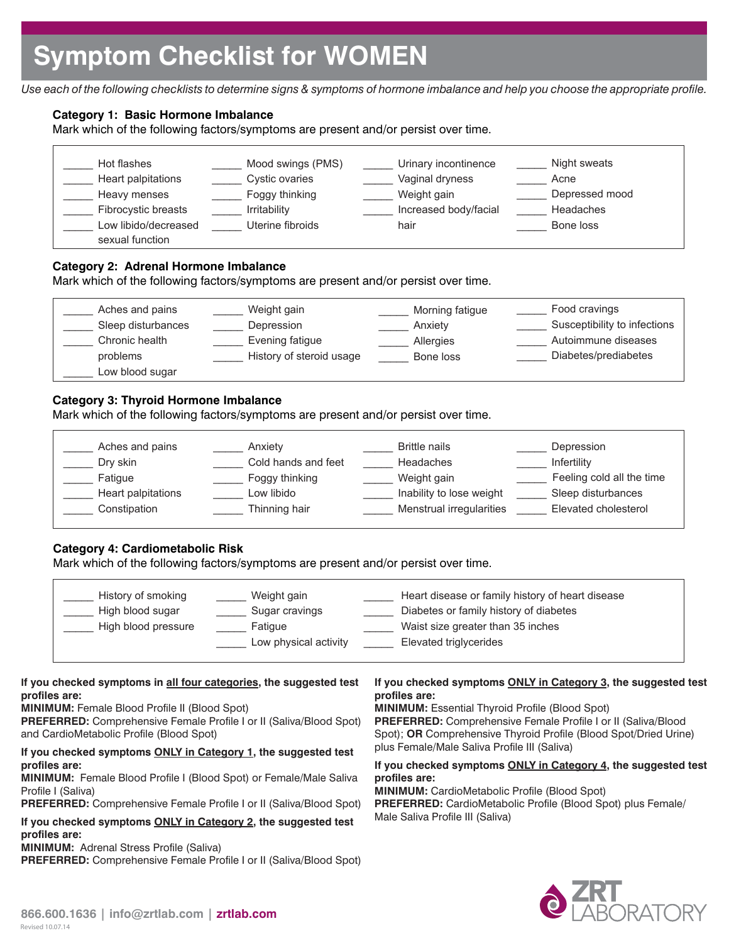*Use each of the following checklists to determine signs & symptoms of hormone imbalance and help you choose the appropriate profile.*

# **Category 1: Basic Hormone Imbalance**

Mark which of the following factors/symptoms are present and/or persist over time.

| Hot flashes<br>Heart palpitations<br>Heavy menses | Mood swings (PMS)<br>Cystic ovaries<br>Foggy thinking | Urinary incontinence<br>Vaginal dryness<br>Weight gain | Night sweats<br>Acne<br>Depressed mood |
|---------------------------------------------------|-------------------------------------------------------|--------------------------------------------------------|----------------------------------------|
| Fibrocystic breasts                               | Irritability                                          | Increased body/facial                                  | Headaches                              |
| Low libido/decreased<br>sexual function           | Uterine fibroids                                      | hair                                                   | Bone loss                              |

## **Category 2: Adrenal Hormone Imbalance**

Mark which of the following factors/symptoms are present and/or persist over time.

| Aches and pains<br>Weight gain<br>Sleep disturbances<br>Depression<br>Evening fatigue<br>Chronic health<br>History of steroid usage<br>problems<br>Low blood sugar | Morning fatigue<br>Anxiety<br>Allergies<br>Bone loss | Food cravings<br>Susceptibility to infections<br>Autoimmune diseases<br>Diabetes/prediabetes |
|--------------------------------------------------------------------------------------------------------------------------------------------------------------------|------------------------------------------------------|----------------------------------------------------------------------------------------------|
|--------------------------------------------------------------------------------------------------------------------------------------------------------------------|------------------------------------------------------|----------------------------------------------------------------------------------------------|

# **Category 3: Thyroid Hormone Imbalance**

Mark which of the following factors/symptoms are present and/or persist over time.

| Aches and pains    | Anxiety             | <b>Brittle nails</b>     | Depression                |
|--------------------|---------------------|--------------------------|---------------------------|
| Dry skin           | Cold hands and feet | Headaches                | Infertility               |
| Fatique            | Foggy thinking      | Weight gain              | Feeling cold all the time |
| Heart palpitations | Low libido          | Inability to lose weight | Sleep disturbances        |
| Constipation       | Thinning hair       | Menstrual irregularities | Elevated cholesterol      |
|                    |                     |                          |                           |

# **Category 4: Cardiometabolic Risk**

Mark which of the following factors/symptoms are present and/or persist over time.

| History of smoking  | Weight gain           | Heart disease or family history of heart disease |
|---------------------|-----------------------|--------------------------------------------------|
| High blood sugar    | Sugar cravings        | Diabetes or family history of diabetes           |
| High blood pressure | Fatique               | Waist size greater than 35 inches                |
|                     | Low physical activity | Elevated triglycerides                           |
|                     |                       |                                                  |

### **If you checked symptoms in all four categories, the suggested test profiles are:**

**MINIMUM:** Female Blood Profile II (Blood Spot)

**PREFERRED:** Comprehensive Female Profile I or II (Saliva/Blood Spot) and CardioMetabolic Profile (Blood Spot)

### **If you checked symptoms ONLY in Category 1, the suggested test profiles are:**

**MINIMUM:** Female Blood Profile I (Blood Spot) or Female/Male Saliva Profile I (Saliva)

**PREFERRED:** Comprehensive Female Profile I or II (Saliva/Blood Spot)

**If you checked symptoms ONLY in Category 2, the suggested test profiles are:**

**MINIMUM:** Adrenal Stress Profile (Saliva)

**PREFERRED:** Comprehensive Female Profile I or II (Saliva/Blood Spot)

## **If you checked symptoms ONLY in Category 3, the suggested test profiles are:**

**MINIMUM:** Essential Thyroid Profile (Blood Spot) **PREFERRED:** Comprehensive Female Profile I or II (Saliva/Blood Spot); **OR** Comprehensive Thyroid Profile (Blood Spot/Dried Urine) plus Female/Male Saliva Profile III (Saliva)

### **If you checked symptoms ONLY in Category 4, the suggested test profiles are:**

**MINIMUM:** CardioMetabolic Profile (Blood Spot) **PREFERRED:** CardioMetabolic Profile (Blood Spot) plus Female/ Male Saliva Profile III (Saliva)